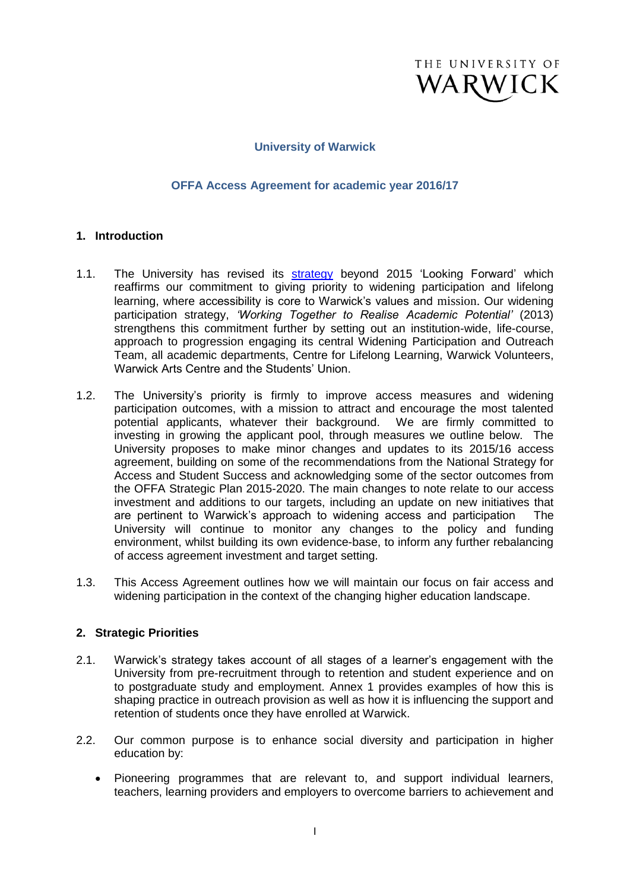

### **University of Warwick**

#### **OFFA Access Agreement for academic year 2016/17**

#### **1. Introduction**

- 1.1. The University has revised its [strategy](http://www2.warwick.ac.uk/about/strategy) beyond 2015 'Looking Forward' which reaffirms our commitment to giving priority to widening participation and lifelong learning, where accessibility is core to Warwick's values and mission. Our widening participation strategy, *'Working Together to Realise Academic Potential'* (2013) strengthens this commitment further by setting out an institution-wide, life-course, approach to progression engaging its central Widening Participation and Outreach Team, all academic departments, Centre for Lifelong Learning, Warwick Volunteers, Warwick Arts Centre and the Students' Union.
- 1.2. The University's priority is firmly to improve access measures and widening participation outcomes, with a mission to attract and encourage the most talented potential applicants, whatever their background. We are firmly committed to investing in growing the applicant pool, through measures we outline below. The University proposes to make minor changes and updates to its 2015/16 access agreement, building on some of the recommendations from the National Strategy for Access and Student Success and acknowledging some of the sector outcomes from the OFFA Strategic Plan 2015-2020. The main changes to note relate to our access investment and additions to our targets, including an update on new initiatives that are pertinent to Warwick's approach to widening access and participation The University will continue to monitor any changes to the policy and funding environment, whilst building its own evidence-base, to inform any further rebalancing of access agreement investment and target setting.
- 1.3. This Access Agreement outlines how we will maintain our focus on fair access and widening participation in the context of the changing higher education landscape.

#### **2. Strategic Priorities**

- 2.1. Warwick's strategy takes account of all stages of a learner's engagement with the University from pre-recruitment through to retention and student experience and on to postgraduate study and employment. Annex 1 provides examples of how this is shaping practice in outreach provision as well as how it is influencing the support and retention of students once they have enrolled at Warwick.
- 2.2. Our common purpose is to enhance social diversity and participation in higher education by:
	- Pioneering programmes that are relevant to, and support individual learners, teachers, learning providers and employers to overcome barriers to achievement and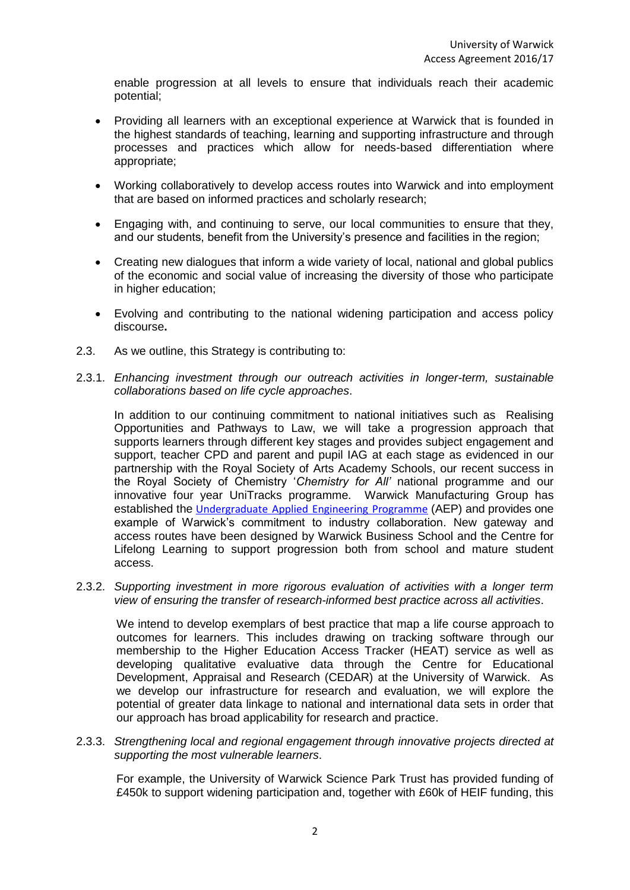enable progression at all levels to ensure that individuals reach their academic potential;

- Providing all learners with an exceptional experience at Warwick that is founded in the highest standards of teaching, learning and supporting infrastructure and through processes and practices which allow for needs-based differentiation where appropriate;
- Working collaboratively to develop access routes into Warwick and into employment that are based on informed practices and scholarly research;
- Engaging with, and continuing to serve, our local communities to ensure that they, and our students, benefit from the University's presence and facilities in the region;
- Creating new dialogues that inform a wide variety of local, national and global publics of the economic and social value of increasing the diversity of those who participate in higher education;
- Evolving and contributing to the national widening participation and access policy discourse**.**
- 2.3. As we outline, this Strategy is contributing to:
- 2.3.1. *Enhancing investment through our outreach activities in longer-term, sustainable collaborations based on life cycle approaches*.

In addition to our continuing commitment to national initiatives such as Realising Opportunities and Pathways to Law, we will take a progression approach that supports learners through different key stages and provides subject engagement and support, teacher CPD and parent and pupil IAG at each stage as evidenced in our partnership with the Royal Society of Arts Academy Schools, our recent success in the Royal Society of Chemistry '*Chemistry for All'* national programme and our innovative four year UniTracks programme. Warwick Manufacturing Group has established the [Undergraduate Applied Engineering Programme](http://www2.warwick.ac.uk/fac/sci/wmg/education/prof-ed/undergraduate/aep/) (AEP) and provides one example of Warwick's commitment to industry collaboration. New gateway and access routes have been designed by Warwick Business School and the Centre for Lifelong Learning to support progression both from school and mature student access.

2.3.2. *Supporting investment in more rigorous evaluation of activities with a longer term view of ensuring the transfer of research-informed best practice across all activities*.

We intend to develop exemplars of best practice that map a life course approach to outcomes for learners. This includes drawing on tracking software through our membership to the Higher Education Access Tracker (HEAT) service as well as developing qualitative evaluative data through the Centre for Educational Development, Appraisal and Research (CEDAR) at the University of Warwick. As we develop our infrastructure for research and evaluation, we will explore the potential of greater data linkage to national and international data sets in order that our approach has broad applicability for research and practice.

2.3.3. *Strengthening local and regional engagement through innovative projects directed at supporting the most vulnerable learners*.

For example, the University of Warwick Science Park Trust has provided funding of £450k to support widening participation and, together with £60k of HEIF funding, this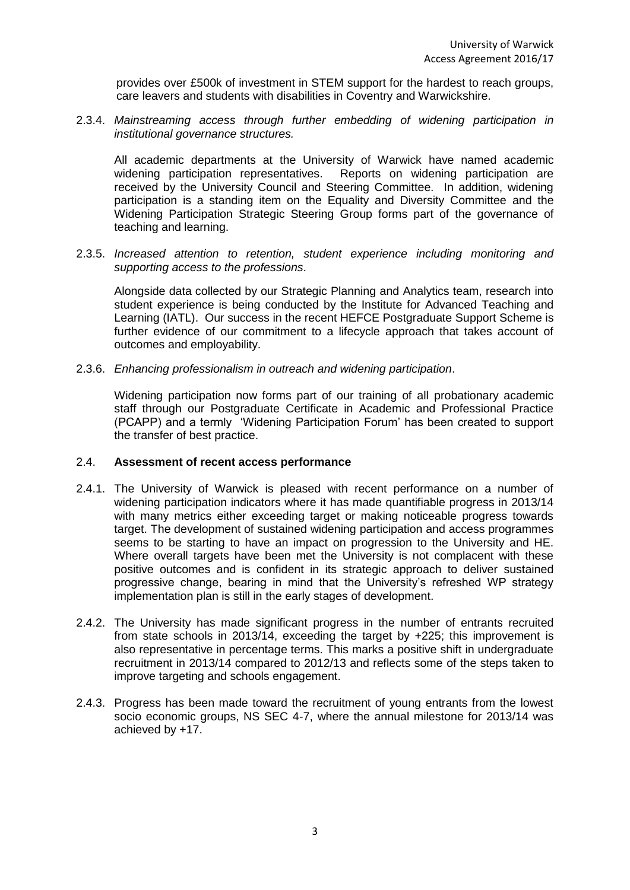provides over £500k of investment in STEM support for the hardest to reach groups, care leavers and students with disabilities in Coventry and Warwickshire.

2.3.4. *Mainstreaming access through further embedding of widening participation in institutional governance structures.*

All academic departments at the University of Warwick have named academic widening participation representatives. Reports on widening participation are received by the University Council and Steering Committee. In addition, widening participation is a standing item on the Equality and Diversity Committee and the Widening Participation Strategic Steering Group forms part of the governance of teaching and learning.

2.3.5. *Increased attention to retention, student experience including monitoring and supporting access to the professions*.

Alongside data collected by our Strategic Planning and Analytics team, research into student experience is being conducted by the Institute for Advanced Teaching and Learning (IATL). Our success in the recent HEFCE Postgraduate Support Scheme is further evidence of our commitment to a lifecycle approach that takes account of outcomes and employability.

2.3.6. *Enhancing professionalism in outreach and widening participation*.

Widening participation now forms part of our training of all probationary academic staff through our Postgraduate Certificate in Academic and Professional Practice (PCAPP) and a termly 'Widening Participation Forum' has been created to support the transfer of best practice.

#### 2.4. **Assessment of recent access performance**

- 2.4.1. The University of Warwick is pleased with recent performance on a number of widening participation indicators where it has made quantifiable progress in 2013/14 with many metrics either exceeding target or making noticeable progress towards target. The development of sustained widening participation and access programmes seems to be starting to have an impact on progression to the University and HE. Where overall targets have been met the University is not complacent with these positive outcomes and is confident in its strategic approach to deliver sustained progressive change, bearing in mind that the University's refreshed WP strategy implementation plan is still in the early stages of development.
- 2.4.2. The University has made significant progress in the number of entrants recruited from state schools in 2013/14, exceeding the target by +225; this improvement is also representative in percentage terms. This marks a positive shift in undergraduate recruitment in 2013/14 compared to 2012/13 and reflects some of the steps taken to improve targeting and schools engagement.
- 2.4.3. Progress has been made toward the recruitment of young entrants from the lowest socio economic groups, NS SEC 4-7, where the annual milestone for 2013/14 was achieved by +17.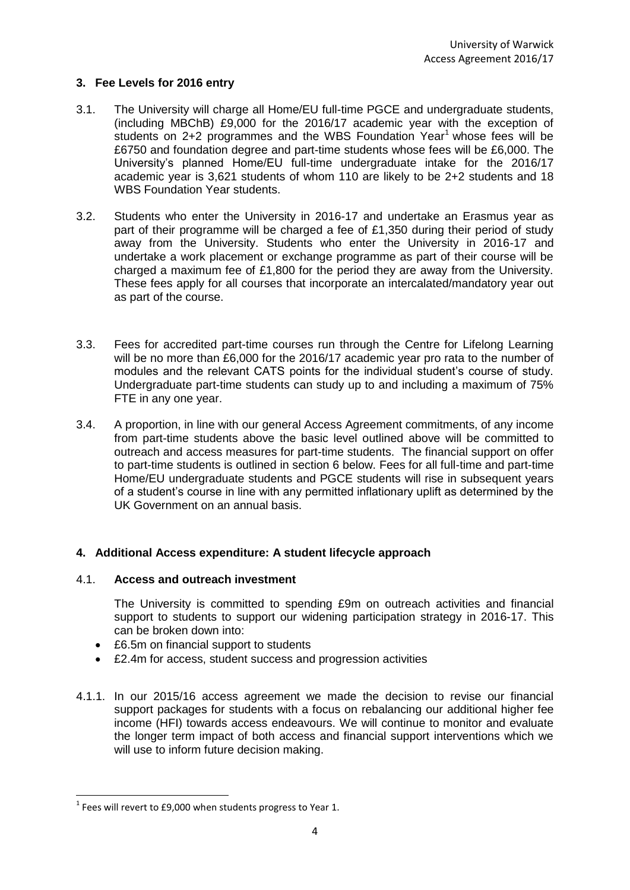# **3. Fee Levels for 2016 entry**

- 3.1. The University will charge all Home/EU full-time PGCE and undergraduate students, (including MBChB) £9,000 for the 2016/17 academic year with the exception of students on  $2+2$  programmes and the WBS Foundation Year<sup>1</sup> whose fees will be £6750 and foundation degree and part-time students whose fees will be £6,000. The University's planned Home/EU full-time undergraduate intake for the 2016/17 academic year is 3,621 students of whom 110 are likely to be 2+2 students and 18 WBS Foundation Year students.
- 3.2. Students who enter the University in 2016-17 and undertake an Erasmus year as part of their programme will be charged a fee of £1,350 during their period of study away from the University. Students who enter the University in 2016-17 and undertake a work placement or exchange programme as part of their course will be charged a maximum fee of £1,800 for the period they are away from the University. These fees apply for all courses that incorporate an intercalated/mandatory year out as part of the course.
- 3.3. Fees for accredited part-time courses run through the Centre for Lifelong Learning will be no more than £6,000 for the 2016/17 academic year pro rata to the number of modules and the relevant CATS points for the individual student's course of study. Undergraduate part-time students can study up to and including a maximum of 75% FTE in any one year.
- 3.4. A proportion, in line with our general Access Agreement commitments, of any income from part-time students above the basic level outlined above will be committed to outreach and access measures for part-time students. The financial support on offer to part-time students is outlined in section 6 below. Fees for all full-time and part-time Home/EU undergraduate students and PGCE students will rise in subsequent years of a student's course in line with any permitted inflationary uplift as determined by the UK Government on an annual basis.

## **4. Additional Access expenditure: A student lifecycle approach**

## 4.1. **Access and outreach investment**

The University is committed to spending £9m on outreach activities and financial support to students to support our widening participation strategy in 2016-17. This can be broken down into:

- £6.5m on financial support to students
- £2.4m for access, student success and progression activities
- 4.1.1. In our 2015/16 access agreement we made the decision to revise our financial support packages for students with a focus on rebalancing our additional higher fee income (HFI) towards access endeavours. We will continue to monitor and evaluate the longer term impact of both access and financial support interventions which we will use to inform future decision making.

**.** 

 $1$  Fees will revert to £9,000 when students progress to Year 1.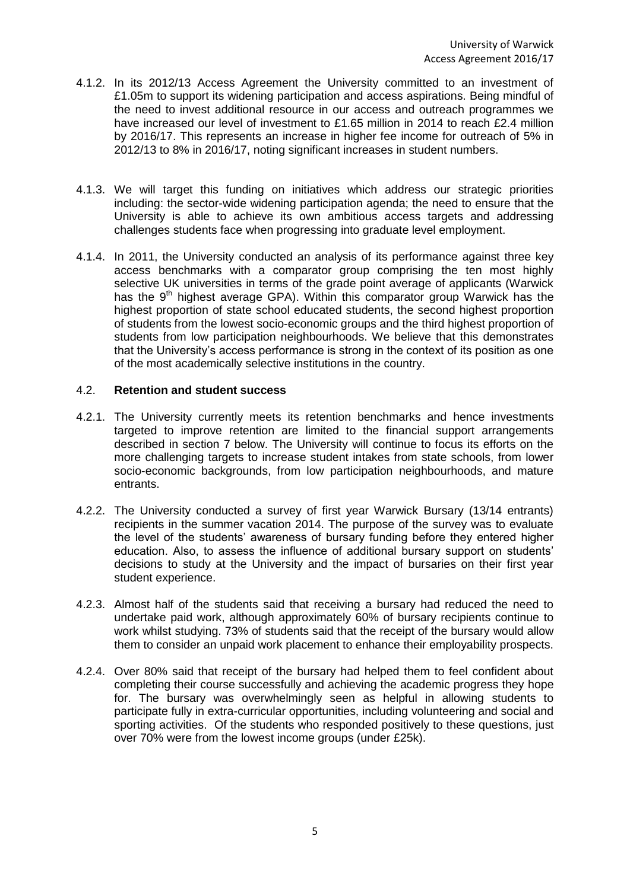- 4.1.2. In its 2012/13 Access Agreement the University committed to an investment of £1.05m to support its widening participation and access aspirations. Being mindful of the need to invest additional resource in our access and outreach programmes we have increased our level of investment to £1.65 million in 2014 to reach £2.4 million by 2016/17. This represents an increase in higher fee income for outreach of 5% in 2012/13 to 8% in 2016/17, noting significant increases in student numbers.
- 4.1.3. We will target this funding on initiatives which address our strategic priorities including: the sector-wide widening participation agenda; the need to ensure that the University is able to achieve its own ambitious access targets and addressing challenges students face when progressing into graduate level employment.
- 4.1.4. In 2011, the University conducted an analysis of its performance against three key access benchmarks with a comparator group comprising the ten most highly selective UK universities in terms of the grade point average of applicants (Warwick has the  $9<sup>th</sup>$  highest average GPA). Within this comparator group Warwick has the highest proportion of state school educated students, the second highest proportion of students from the lowest socio-economic groups and the third highest proportion of students from low participation neighbourhoods. We believe that this demonstrates that the University's access performance is strong in the context of its position as one of the most academically selective institutions in the country.

# 4.2. **Retention and student success**

- 4.2.1. The University currently meets its retention benchmarks and hence investments targeted to improve retention are limited to the financial support arrangements described in section 7 below. The University will continue to focus its efforts on the more challenging targets to increase student intakes from state schools, from lower socio-economic backgrounds, from low participation neighbourhoods, and mature entrants.
- 4.2.2. The University conducted a survey of first year Warwick Bursary (13/14 entrants) recipients in the summer vacation 2014. The purpose of the survey was to evaluate the level of the students' awareness of bursary funding before they entered higher education. Also, to assess the influence of additional bursary support on students' decisions to study at the University and the impact of bursaries on their first year student experience.
- 4.2.3. Almost half of the students said that receiving a bursary had reduced the need to undertake paid work, although approximately 60% of bursary recipients continue to work whilst studying. 73% of students said that the receipt of the bursary would allow them to consider an unpaid work placement to enhance their employability prospects.
- 4.2.4. Over 80% said that receipt of the bursary had helped them to feel confident about completing their course successfully and achieving the academic progress they hope for. The bursary was overwhelmingly seen as helpful in allowing students to participate fully in extra-curricular opportunities, including volunteering and social and sporting activities. Of the students who responded positively to these questions, just over 70% were from the lowest income groups (under £25k).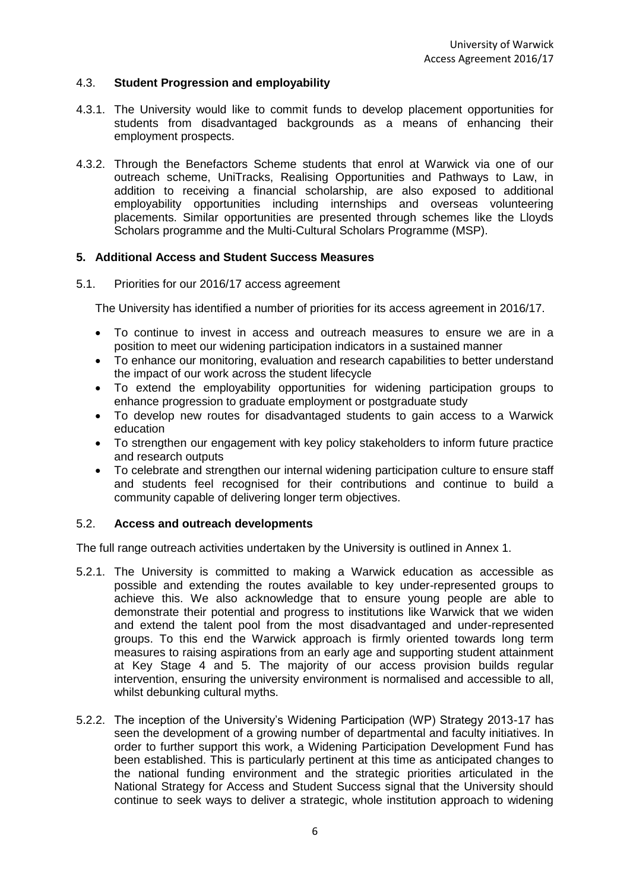## 4.3. **Student Progression and employability**

- 4.3.1. The University would like to commit funds to develop placement opportunities for students from disadvantaged backgrounds as a means of enhancing their employment prospects.
- 4.3.2. Through the Benefactors Scheme students that enrol at Warwick via one of our outreach scheme, UniTracks, Realising Opportunities and Pathways to Law, in addition to receiving a financial scholarship, are also exposed to additional employability opportunities including internships and overseas volunteering placements. Similar opportunities are presented through schemes like the Lloyds Scholars programme and the Multi-Cultural Scholars Programme (MSP).

# **5. Additional Access and Student Success Measures**

5.1. Priorities for our 2016/17 access agreement

The University has identified a number of priorities for its access agreement in 2016/17.

- To continue to invest in access and outreach measures to ensure we are in a position to meet our widening participation indicators in a sustained manner
- To enhance our monitoring, evaluation and research capabilities to better understand the impact of our work across the student lifecycle
- To extend the employability opportunities for widening participation groups to enhance progression to graduate employment or postgraduate study
- To develop new routes for disadvantaged students to gain access to a Warwick education
- To strengthen our engagement with key policy stakeholders to inform future practice and research outputs
- To celebrate and strengthen our internal widening participation culture to ensure staff and students feel recognised for their contributions and continue to build a community capable of delivering longer term objectives.

### 5.2. **Access and outreach developments**

The full range outreach activities undertaken by the University is outlined in Annex 1.

- 5.2.1. The University is committed to making a Warwick education as accessible as possible and extending the routes available to key under-represented groups to achieve this. We also acknowledge that to ensure young people are able to demonstrate their potential and progress to institutions like Warwick that we widen and extend the talent pool from the most disadvantaged and under-represented groups. To this end the Warwick approach is firmly oriented towards long term measures to raising aspirations from an early age and supporting student attainment at Key Stage 4 and 5. The majority of our access provision builds regular intervention, ensuring the university environment is normalised and accessible to all, whilst debunking cultural myths.
- 5.2.2. The inception of the University's Widening Participation (WP) Strategy 2013-17 has seen the development of a growing number of departmental and faculty initiatives. In order to further support this work, a Widening Participation Development Fund has been established. This is particularly pertinent at this time as anticipated changes to the national funding environment and the strategic priorities articulated in the National Strategy for Access and Student Success signal that the University should continue to seek ways to deliver a strategic, whole institution approach to widening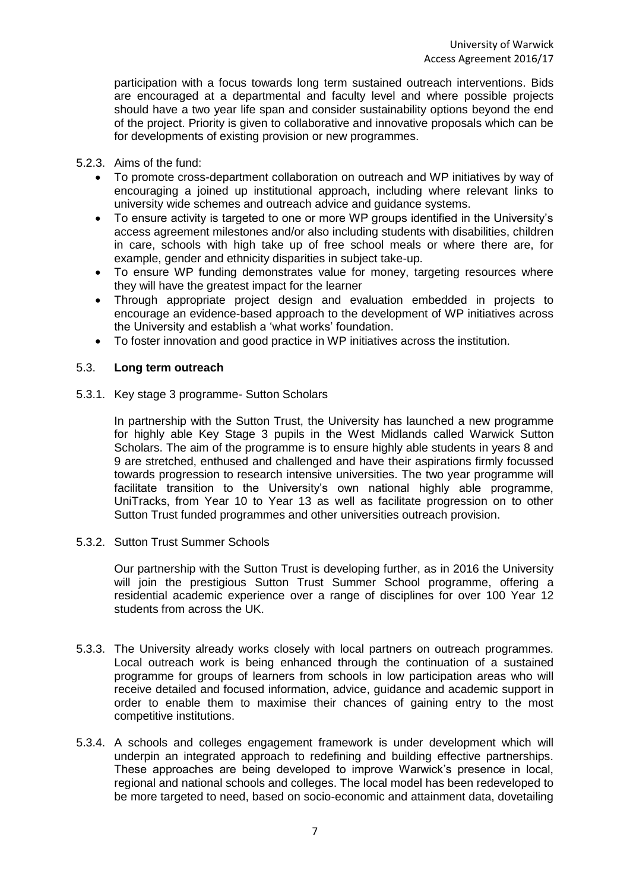participation with a focus towards long term sustained outreach interventions. Bids are encouraged at a departmental and faculty level and where possible projects should have a two year life span and consider sustainability options beyond the end of the project. Priority is given to collaborative and innovative proposals which can be for developments of existing provision or new programmes.

### 5.2.3. Aims of the fund:

- To promote cross-department collaboration on outreach and WP initiatives by way of encouraging a joined up institutional approach, including where relevant links to university wide schemes and outreach advice and guidance systems.
- To ensure activity is targeted to one or more WP groups identified in the University's access agreement milestones and/or also including students with disabilities, children in care, schools with high take up of free school meals or where there are, for example, gender and ethnicity disparities in subject take-up.
- To ensure WP funding demonstrates value for money, targeting resources where they will have the greatest impact for the learner
- Through appropriate project design and evaluation embedded in projects to encourage an evidence-based approach to the development of WP initiatives across the University and establish a 'what works' foundation.
- To foster innovation and good practice in WP initiatives across the institution.

### 5.3. **Long term outreach**

5.3.1. Key stage 3 programme- Sutton Scholars

In partnership with the Sutton Trust, the University has launched a new programme for highly able Key Stage 3 pupils in the West Midlands called Warwick Sutton Scholars. The aim of the programme is to ensure highly able students in years 8 and 9 are stretched, enthused and challenged and have their aspirations firmly focussed towards progression to research intensive universities. The two year programme will facilitate transition to the University's own national highly able programme, UniTracks, from Year 10 to Year 13 as well as facilitate progression on to other Sutton Trust funded programmes and other universities outreach provision.

5.3.2. Sutton Trust Summer Schools

Our partnership with the Sutton Trust is developing further, as in 2016 the University will join the prestigious Sutton Trust Summer School programme, offering a residential academic experience over a range of disciplines for over 100 Year 12 students from across the UK.

- 5.3.3. The University already works closely with local partners on outreach programmes. Local outreach work is being enhanced through the continuation of a sustained programme for groups of learners from schools in low participation areas who will receive detailed and focused information, advice, guidance and academic support in order to enable them to maximise their chances of gaining entry to the most competitive institutions.
- 5.3.4. A schools and colleges engagement framework is under development which will underpin an integrated approach to redefining and building effective partnerships. These approaches are being developed to improve Warwick's presence in local, regional and national schools and colleges. The local model has been redeveloped to be more targeted to need, based on socio-economic and attainment data, dovetailing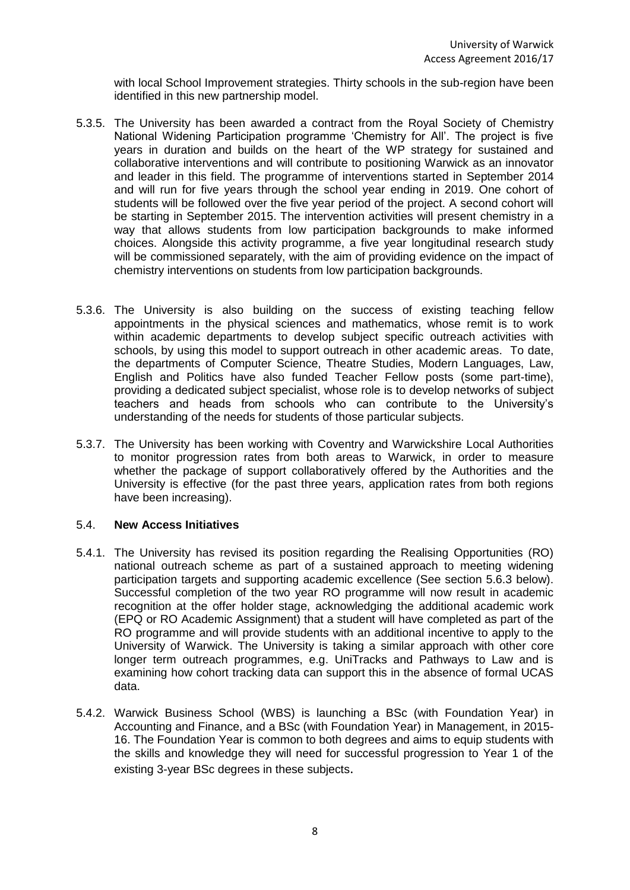with local School Improvement strategies. Thirty schools in the sub-region have been identified in this new partnership model.

- 5.3.5. The University has been awarded a contract from the Royal Society of Chemistry National Widening Participation programme 'Chemistry for All'. The project is five years in duration and builds on the heart of the WP strategy for sustained and collaborative interventions and will contribute to positioning Warwick as an innovator and leader in this field. The programme of interventions started in September 2014 and will run for five years through the school year ending in 2019. One cohort of students will be followed over the five year period of the project. A second cohort will be starting in September 2015. The intervention activities will present chemistry in a way that allows students from low participation backgrounds to make informed choices. Alongside this activity programme, a five year longitudinal research study will be commissioned separately, with the aim of providing evidence on the impact of chemistry interventions on students from low participation backgrounds.
- 5.3.6. The University is also building on the success of existing teaching fellow appointments in the physical sciences and mathematics, whose remit is to work within academic departments to develop subject specific outreach activities with schools, by using this model to support outreach in other academic areas. To date, the departments of Computer Science, Theatre Studies, Modern Languages, Law, English and Politics have also funded Teacher Fellow posts (some part-time), providing a dedicated subject specialist, whose role is to develop networks of subject teachers and heads from schools who can contribute to the University's understanding of the needs for students of those particular subjects.
- 5.3.7. The University has been working with Coventry and Warwickshire Local Authorities to monitor progression rates from both areas to Warwick, in order to measure whether the package of support collaboratively offered by the Authorities and the University is effective (for the past three years, application rates from both regions have been increasing).

#### 5.4. **New Access Initiatives**

- 5.4.1. The University has revised its position regarding the Realising Opportunities (RO) national outreach scheme as part of a sustained approach to meeting widening participation targets and supporting academic excellence (See section 5.6.3 below). Successful completion of the two year RO programme will now result in academic recognition at the offer holder stage, acknowledging the additional academic work (EPQ or RO Academic Assignment) that a student will have completed as part of the RO programme and will provide students with an additional incentive to apply to the University of Warwick. The University is taking a similar approach with other core longer term outreach programmes, e.g. UniTracks and Pathways to Law and is examining how cohort tracking data can support this in the absence of formal UCAS data.
- 5.4.2. Warwick Business School (WBS) is launching a BSc (with Foundation Year) in Accounting and Finance, and a BSc (with Foundation Year) in Management, in 2015- 16. The Foundation Year is common to both degrees and aims to equip students with the skills and knowledge they will need for successful progression to Year 1 of the existing 3-year BSc degrees in these subjects.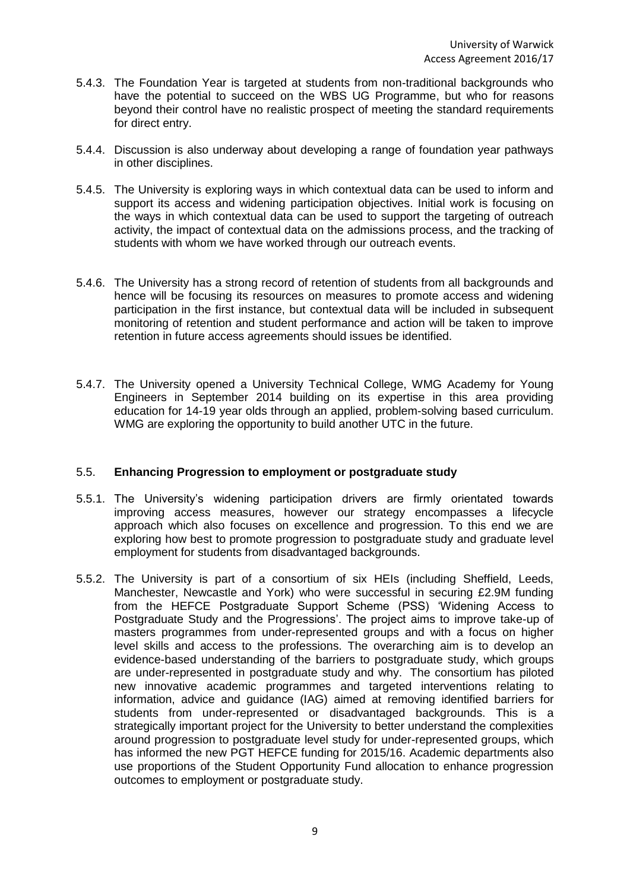- 5.4.3. The Foundation Year is targeted at students from non-traditional backgrounds who have the potential to succeed on the WBS UG Programme, but who for reasons beyond their control have no realistic prospect of meeting the standard requirements for direct entry.
- 5.4.4. Discussion is also underway about developing a range of foundation year pathways in other disciplines.
- 5.4.5. The University is exploring ways in which contextual data can be used to inform and support its access and widening participation objectives. Initial work is focusing on the ways in which contextual data can be used to support the targeting of outreach activity, the impact of contextual data on the admissions process, and the tracking of students with whom we have worked through our outreach events.
- 5.4.6. The University has a strong record of retention of students from all backgrounds and hence will be focusing its resources on measures to promote access and widening participation in the first instance, but contextual data will be included in subsequent monitoring of retention and student performance and action will be taken to improve retention in future access agreements should issues be identified.
- 5.4.7. The University opened a University Technical College, WMG Academy for Young Engineers in September 2014 building on its expertise in this area providing education for 14-19 year olds through an applied, problem-solving based curriculum. WMG are exploring the opportunity to build another UTC in the future.

## 5.5. **Enhancing Progression to employment or postgraduate study**

- 5.5.1. The University's widening participation drivers are firmly orientated towards improving access measures, however our strategy encompasses a lifecycle approach which also focuses on excellence and progression. To this end we are exploring how best to promote progression to postgraduate study and graduate level employment for students from disadvantaged backgrounds.
- 5.5.2. The University is part of a consortium of six HEIs (including Sheffield, Leeds, Manchester, Newcastle and York) who were successful in securing £2.9M funding from the HEFCE Postgraduate Support Scheme (PSS) 'Widening Access to Postgraduate Study and the Progressions'. The project aims to improve take-up of masters programmes from under-represented groups and with a focus on higher level skills and access to the professions. The overarching aim is to develop an evidence-based understanding of the barriers to postgraduate study, which groups are under-represented in postgraduate study and why. The consortium has piloted new innovative academic programmes and targeted interventions relating to information, advice and guidance (IAG) aimed at removing identified barriers for students from under-represented or disadvantaged backgrounds. This is a strategically important project for the University to better understand the complexities around progression to postgraduate level study for under-represented groups, which has informed the new PGT HEFCE funding for 2015/16. Academic departments also use proportions of the Student Opportunity Fund allocation to enhance progression outcomes to employment or postgraduate study.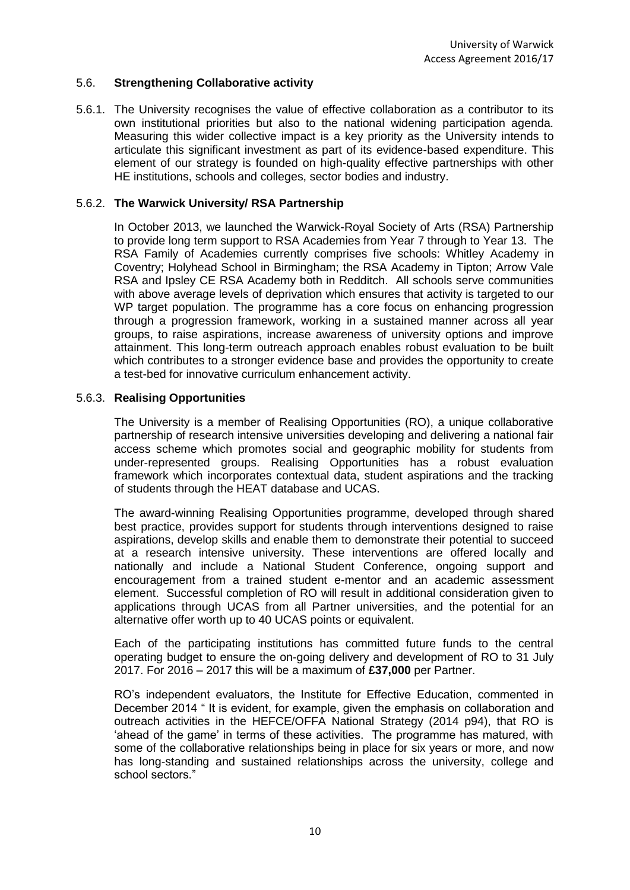### 5.6. **Strengthening Collaborative activity**

5.6.1. The University recognises the value of effective collaboration as a contributor to its own institutional priorities but also to the national widening participation agenda. Measuring this wider collective impact is a key priority as the University intends to articulate this significant investment as part of its evidence-based expenditure. This element of our strategy is founded on high-quality effective partnerships with other HE institutions, schools and colleges, sector bodies and industry.

### 5.6.2. **The Warwick University/ RSA Partnership**

In October 2013, we launched the Warwick-Royal Society of Arts (RSA) Partnership to provide long term support to RSA Academies from Year 7 through to Year 13. The RSA Family of Academies currently comprises five schools: Whitley Academy in Coventry; Holyhead School in Birmingham; the RSA Academy in Tipton; Arrow Vale RSA and Ipsley CE RSA Academy both in Redditch. All schools serve communities with above average levels of deprivation which ensures that activity is targeted to our WP target population. The programme has a core focus on enhancing progression through a progression framework, working in a sustained manner across all year groups, to raise aspirations, increase awareness of university options and improve attainment. This long-term outreach approach enables robust evaluation to be built which contributes to a stronger evidence base and provides the opportunity to create a test-bed for innovative curriculum enhancement activity.

### 5.6.3. **Realising Opportunities**

The University is a member of Realising Opportunities (RO), a unique collaborative partnership of research intensive universities developing and delivering a national fair access scheme which promotes social and geographic mobility for students from under-represented groups. Realising Opportunities has a robust evaluation framework which incorporates contextual data, student aspirations and the tracking of students through the HEAT database and UCAS.

The award-winning Realising Opportunities programme, developed through shared best practice, provides support for students through interventions designed to raise aspirations, develop skills and enable them to demonstrate their potential to succeed at a research intensive university. These interventions are offered locally and nationally and include a National Student Conference, ongoing support and encouragement from a trained student e-mentor and an academic assessment element. Successful completion of RO will result in additional consideration given to applications through UCAS from all Partner universities, and the potential for an alternative offer worth up to 40 UCAS points or equivalent.

Each of the participating institutions has committed future funds to the central operating budget to ensure the on-going delivery and development of RO to 31 July 2017. For 2016 – 2017 this will be a maximum of **£37,000** per Partner.

RO's independent evaluators, the Institute for Effective Education, commented in December 2014 " It is evident, for example, given the emphasis on collaboration and outreach activities in the HEFCE/OFFA National Strategy (2014 p94), that RO is 'ahead of the game' in terms of these activities. The programme has matured, with some of the collaborative relationships being in place for six years or more, and now has long-standing and sustained relationships across the university, college and school sectors."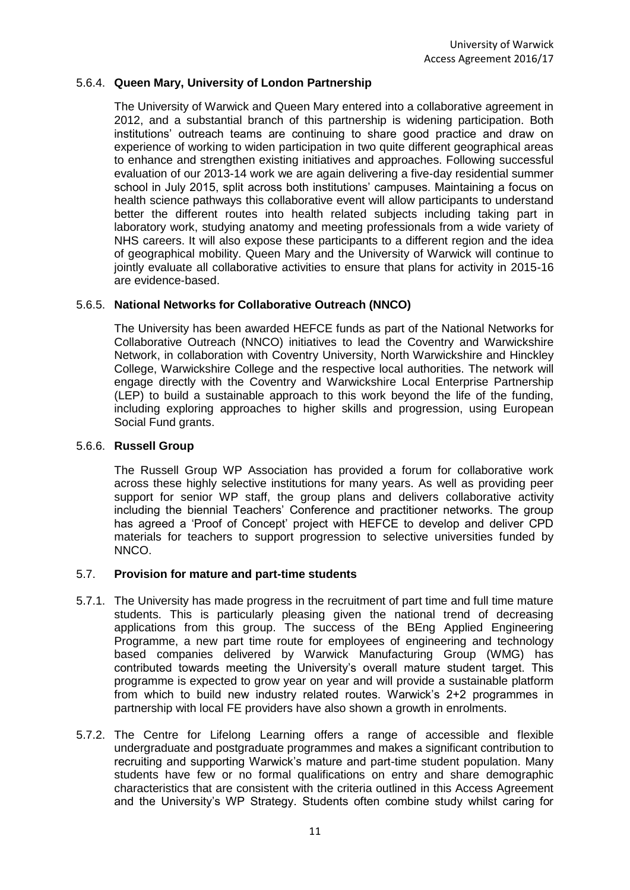## 5.6.4. **Queen Mary, University of London Partnership**

The University of Warwick and Queen Mary entered into a collaborative agreement in 2012, and a substantial branch of this partnership is widening participation. Both institutions' outreach teams are continuing to share good practice and draw on experience of working to widen participation in two quite different geographical areas to enhance and strengthen existing initiatives and approaches. Following successful evaluation of our 2013-14 work we are again delivering a five-day residential summer school in July 2015, split across both institutions' campuses. Maintaining a focus on health science pathways this collaborative event will allow participants to understand better the different routes into health related subjects including taking part in laboratory work, studying anatomy and meeting professionals from a wide variety of NHS careers. It will also expose these participants to a different region and the idea of geographical mobility. Queen Mary and the University of Warwick will continue to jointly evaluate all collaborative activities to ensure that plans for activity in 2015-16 are evidence-based.

### 5.6.5. **National Networks for Collaborative Outreach (NNCO)**

The University has been awarded HEFCE funds as part of the National Networks for Collaborative Outreach (NNCO) initiatives to lead the Coventry and Warwickshire Network, in collaboration with Coventry University, North Warwickshire and Hinckley College, Warwickshire College and the respective local authorities. The network will engage directly with the Coventry and Warwickshire Local Enterprise Partnership (LEP) to build a sustainable approach to this work beyond the life of the funding, including exploring approaches to higher skills and progression, using European Social Fund grants.

#### 5.6.6. **Russell Group**

The Russell Group WP Association has provided a forum for collaborative work across these highly selective institutions for many years. As well as providing peer support for senior WP staff, the group plans and delivers collaborative activity including the biennial Teachers' Conference and practitioner networks. The group has agreed a 'Proof of Concept' project with HEFCE to develop and deliver CPD materials for teachers to support progression to selective universities funded by NNCO.

#### 5.7. **Provision for mature and part-time students**

- 5.7.1. The University has made progress in the recruitment of part time and full time mature students. This is particularly pleasing given the national trend of decreasing applications from this group. The success of the BEng Applied Engineering Programme, a new part time route for employees of engineering and technology based companies delivered by Warwick Manufacturing Group (WMG) has contributed towards meeting the University's overall mature student target. This programme is expected to grow year on year and will provide a sustainable platform from which to build new industry related routes. Warwick's 2+2 programmes in partnership with local FE providers have also shown a growth in enrolments.
- 5.7.2. The Centre for Lifelong Learning offers a range of accessible and flexible undergraduate and postgraduate programmes and makes a significant contribution to recruiting and supporting Warwick's mature and part-time student population. Many students have few or no formal qualifications on entry and share demographic characteristics that are consistent with the criteria outlined in this Access Agreement and the University's WP Strategy. Students often combine study whilst caring for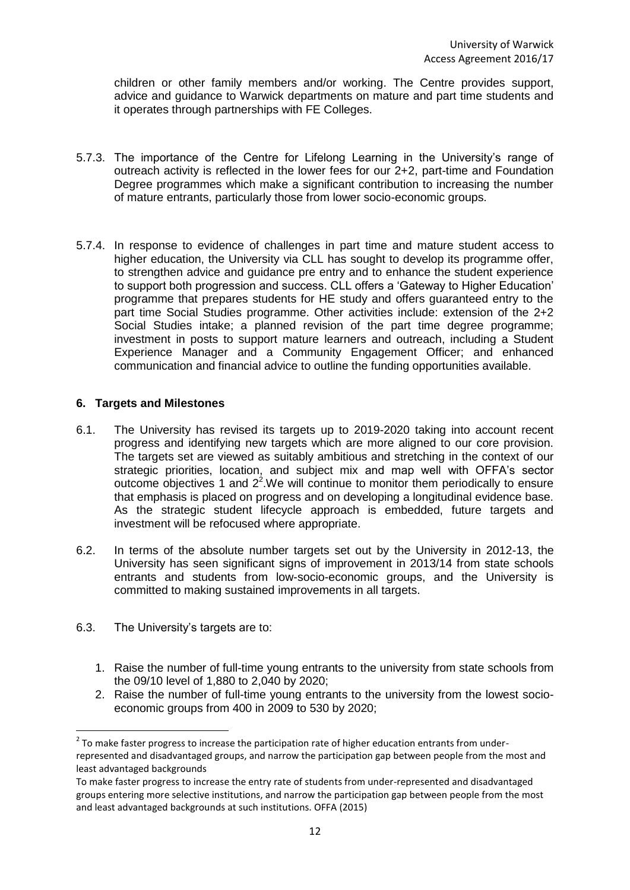children or other family members and/or working. The Centre provides support, advice and guidance to Warwick departments on mature and part time students and it operates through partnerships with FE Colleges.

- 5.7.3. The importance of the Centre for Lifelong Learning in the University's range of outreach activity is reflected in the lower fees for our 2+2, part-time and Foundation Degree programmes which make a significant contribution to increasing the number of mature entrants, particularly those from lower socio-economic groups.
- 5.7.4. In response to evidence of challenges in part time and mature student access to higher education, the University via CLL has sought to develop its programme offer, to strengthen advice and guidance pre entry and to enhance the student experience to support both progression and success. CLL offers a 'Gateway to Higher Education' programme that prepares students for HE study and offers guaranteed entry to the part time Social Studies programme. Other activities include: extension of the 2+2 Social Studies intake; a planned revision of the part time degree programme; investment in posts to support mature learners and outreach, including a Student Experience Manager and a Community Engagement Officer; and enhanced communication and financial advice to outline the funding opportunities available.

## **6. Targets and Milestones**

- 6.1. The University has revised its targets up to 2019-2020 taking into account recent progress and identifying new targets which are more aligned to our core provision. The targets set are viewed as suitably ambitious and stretching in the context of our strategic priorities, location, and subject mix and map well with OFFA's sector outcome objectives 1 and  $2<sup>2</sup>$ . We will continue to monitor them periodically to ensure that emphasis is placed on progress and on developing a longitudinal evidence base. As the strategic student lifecycle approach is embedded, future targets and investment will be refocused where appropriate.
- 6.2. In terms of the absolute number targets set out by the University in 2012-13, the University has seen significant signs of improvement in 2013/14 from state schools entrants and students from low-socio-economic groups, and the University is committed to making sustained improvements in all targets.
- 6.3. The University's targets are to:
	- 1. Raise the number of full-time young entrants to the university from state schools from the 09/10 level of 1,880 to 2,040 by 2020;
	- 2. Raise the number of full-time young entrants to the university from the lowest socioeconomic groups from 400 in 2009 to 530 by 2020;

 2 To make faster progress to increase the participation rate of higher education entrants from underrepresented and disadvantaged groups, and narrow the participation gap between people from the most and least advantaged backgrounds

To make faster progress to increase the entry rate of students from under-represented and disadvantaged groups entering more selective institutions, and narrow the participation gap between people from the most and least advantaged backgrounds at such institutions. OFFA (2015)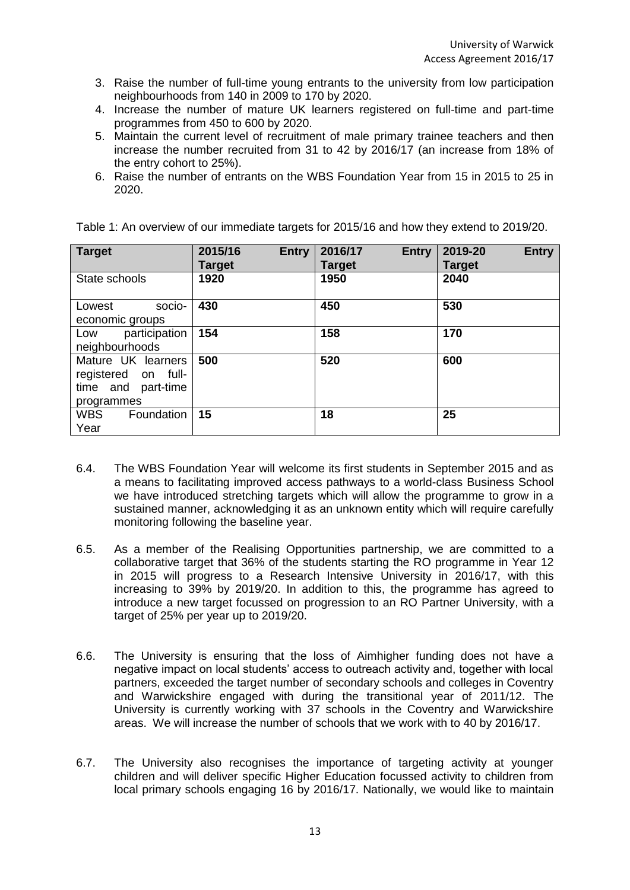- 3. Raise the number of full-time young entrants to the university from low participation neighbourhoods from 140 in 2009 to 170 by 2020.
- 4. Increase the number of mature UK learners registered on full-time and part-time programmes from 450 to 600 by 2020.
- 5. Maintain the current level of recruitment of male primary trainee teachers and then increase the number recruited from 31 to 42 by 2016/17 (an increase from 18% of the entry cohort to 25%).
- 6. Raise the number of entrants on the WBS Foundation Year from 15 in 2015 to 25 in 2020.

| <b>Target</b>            | 2015/16<br><b>Entry</b><br><b>Target</b> | 2016/17<br><b>Entry</b><br><b>Target</b> | <b>Entry</b><br>2019-20<br><b>Target</b> |
|--------------------------|------------------------------------------|------------------------------------------|------------------------------------------|
| State schools            | 1920                                     | 1950                                     | 2040                                     |
| socio-<br>Lowest         | 430                                      | 450                                      | 530                                      |
| economic groups          |                                          |                                          |                                          |
| participation<br>Low     | 154                                      | 158                                      | 170                                      |
| neighbourhoods           |                                          |                                          |                                          |
| Mature UK learners       | 500                                      | 520                                      | 600                                      |
| registered on full-      |                                          |                                          |                                          |
| time and<br>part-time    |                                          |                                          |                                          |
| programmes               |                                          |                                          |                                          |
| <b>WBS</b><br>Foundation | 15                                       | 18                                       | 25                                       |
| Year                     |                                          |                                          |                                          |

Table 1: An overview of our immediate targets for 2015/16 and how they extend to 2019/20.

- 6.4. The WBS Foundation Year will welcome its first students in September 2015 and as a means to facilitating improved access pathways to a world-class Business School we have introduced stretching targets which will allow the programme to grow in a sustained manner, acknowledging it as an unknown entity which will require carefully monitoring following the baseline year.
- 6.5. As a member of the Realising Opportunities partnership, we are committed to a collaborative target that 36% of the students starting the RO programme in Year 12 in 2015 will progress to a Research Intensive University in 2016/17, with this increasing to 39% by 2019/20. In addition to this, the programme has agreed to introduce a new target focussed on progression to an RO Partner University, with a target of 25% per year up to 2019/20.
- 6.6. The University is ensuring that the loss of Aimhigher funding does not have a negative impact on local students' access to outreach activity and, together with local partners, exceeded the target number of secondary schools and colleges in Coventry and Warwickshire engaged with during the transitional year of 2011/12. The University is currently working with 37 schools in the Coventry and Warwickshire areas. We will increase the number of schools that we work with to 40 by 2016/17.
- 6.7. The University also recognises the importance of targeting activity at younger children and will deliver specific Higher Education focussed activity to children from local primary schools engaging 16 by 2016/17. Nationally, we would like to maintain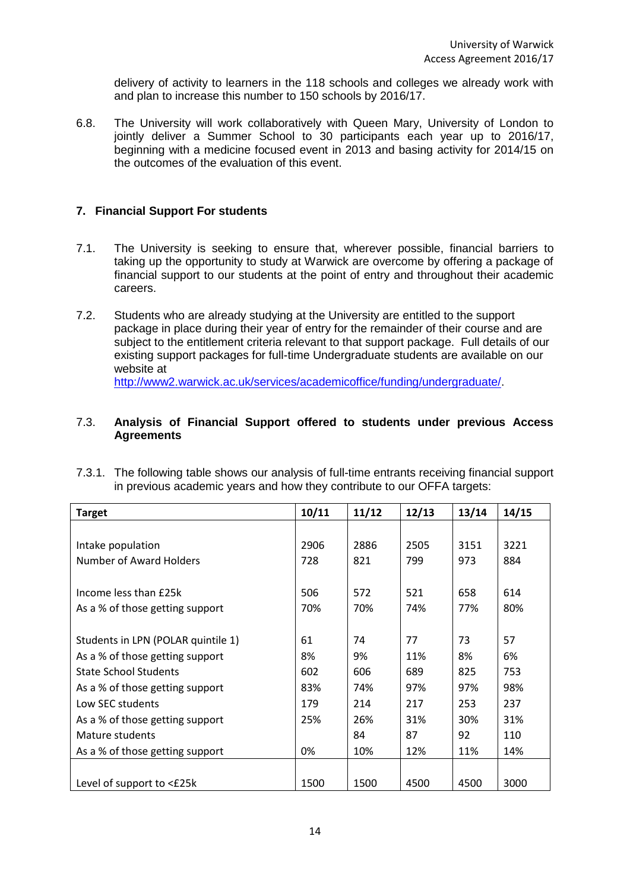delivery of activity to learners in the 118 schools and colleges we already work with and plan to increase this number to 150 schools by 2016/17.

6.8. The University will work collaboratively with Queen Mary, University of London to jointly deliver a Summer School to 30 participants each year up to 2016/17, beginning with a medicine focused event in 2013 and basing activity for 2014/15 on the outcomes of the evaluation of this event.

## **7. Financial Support For students**

- 7.1. The University is seeking to ensure that, wherever possible, financial barriers to taking up the opportunity to study at Warwick are overcome by offering a package of financial support to our students at the point of entry and throughout their academic careers.
- 7.2. Students who are already studying at the University are entitled to the support package in place during their year of entry for the remainder of their course and are subject to the entitlement criteria relevant to that support package. Full details of our existing support packages for full-time Undergraduate students are available on our website at [http://www2.warwick.ac.uk/services/academicoffice/funding/undergraduate/.](http://www2.warwick.ac.uk/services/academicoffice/funding/undergraduate/)

### 7.3. **Analysis of Financial Support offered to students under previous Access Agreements**

7.3.1. The following table shows our analysis of full-time entrants receiving financial support in previous academic years and how they contribute to our OFFA targets:

| <b>Target</b>                      | 10/11 | 11/12 | 12/13 | 13/14 | 14/15 |
|------------------------------------|-------|-------|-------|-------|-------|
|                                    |       |       |       |       |       |
| Intake population                  | 2906  | 2886  | 2505  | 3151  | 3221  |
| <b>Number of Award Holders</b>     | 728   | 821   | 799   | 973   | 884   |
|                                    |       |       |       |       |       |
| Income less than £25k              | 506   | 572   | 521   | 658   | 614   |
| As a % of those getting support    | 70%   | 70%   | 74%   | 77%   | 80%   |
|                                    |       |       |       |       |       |
| Students in LPN (POLAR quintile 1) | 61    | 74    | 77    | 73    | 57    |
| As a % of those getting support    | 8%    | 9%    | 11%   | 8%    | 6%    |
| <b>State School Students</b>       | 602   | 606   | 689   | 825   | 753   |
| As a % of those getting support    | 83%   | 74%   | 97%   | 97%   | 98%   |
| Low SEC students                   | 179   | 214   | 217   | 253   | 237   |
| As a % of those getting support    | 25%   | 26%   | 31%   | 30%   | 31%   |
| Mature students                    |       | 84    | 87    | 92    | 110   |
| As a % of those getting support    | 0%    | 10%   | 12%   | 11%   | 14%   |
|                                    |       |       |       |       |       |
| Level of support to <£25k          | 1500  | 1500  | 4500  | 4500  | 3000  |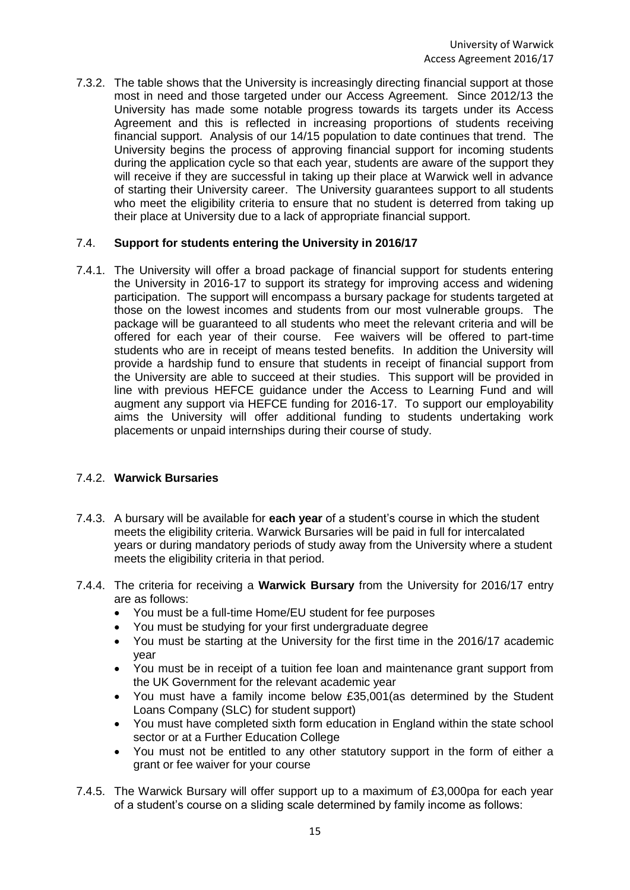7.3.2. The table shows that the University is increasingly directing financial support at those most in need and those targeted under our Access Agreement. Since 2012/13 the University has made some notable progress towards its targets under its Access Agreement and this is reflected in increasing proportions of students receiving financial support. Analysis of our 14/15 population to date continues that trend. The University begins the process of approving financial support for incoming students during the application cycle so that each year, students are aware of the support they will receive if they are successful in taking up their place at Warwick well in advance of starting their University career. The University guarantees support to all students who meet the eligibility criteria to ensure that no student is deterred from taking up their place at University due to a lack of appropriate financial support.

## 7.4. **Support for students entering the University in 2016/17**

7.4.1. The University will offer a broad package of financial support for students entering the University in 2016-17 to support its strategy for improving access and widening participation. The support will encompass a bursary package for students targeted at those on the lowest incomes and students from our most vulnerable groups. The package will be guaranteed to all students who meet the relevant criteria and will be offered for each year of their course. Fee waivers will be offered to part-time students who are in receipt of means tested benefits. In addition the University will provide a hardship fund to ensure that students in receipt of financial support from the University are able to succeed at their studies. This support will be provided in line with previous HEFCE guidance under the Access to Learning Fund and will augment any support via HEFCE funding for 2016-17. To support our employability aims the University will offer additional funding to students undertaking work placements or unpaid internships during their course of study.

# 7.4.2. **Warwick Bursaries**

- 7.4.3. A bursary will be available for **each year** of a student's course in which the student meets the eligibility criteria. Warwick Bursaries will be paid in full for intercalated years or during mandatory periods of study away from the University where a student meets the eligibility criteria in that period.
- 7.4.4. The criteria for receiving a **Warwick Bursary** from the University for 2016/17 entry are as follows:
	- You must be a full-time Home/EU student for fee purposes
	- You must be studying for your first undergraduate degree
	- You must be starting at the University for the first time in the 2016/17 academic year
	- You must be in receipt of a tuition fee loan and maintenance grant support from the UK Government for the relevant academic year
	- You must have a family income below £35,001(as determined by the Student Loans Company (SLC) for student support)
	- You must have completed sixth form education in England within the state school sector or at a Further Education College
	- You must not be entitled to any other statutory support in the form of either a grant or fee waiver for your course
- 7.4.5. The Warwick Bursary will offer support up to a maximum of £3,000pa for each year of a student's course on a sliding scale determined by family income as follows: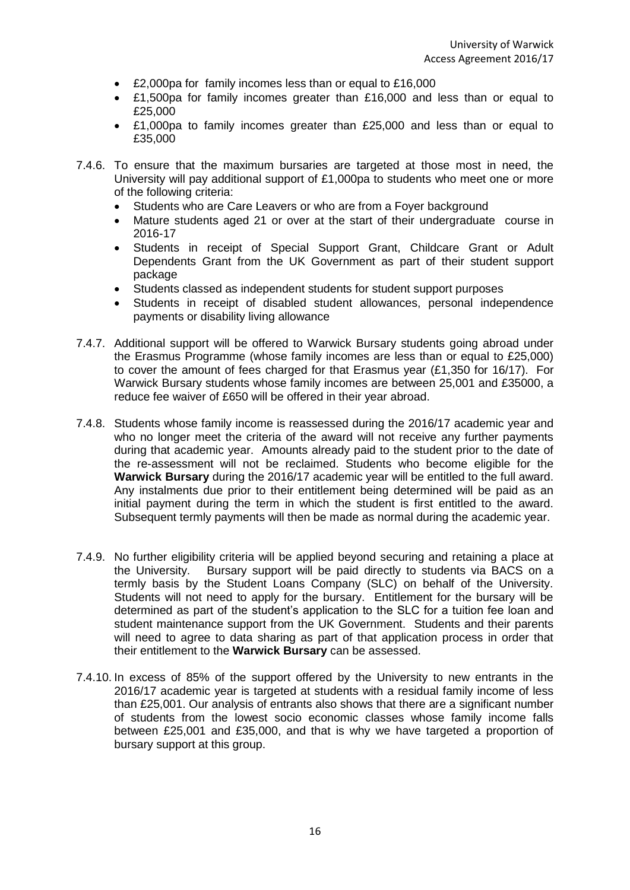- £2,000pa for family incomes less than or equal to £16,000
- £1,500pa for family incomes greater than £16,000 and less than or equal to £25,000
- £1,000pa to family incomes greater than £25,000 and less than or equal to £35,000
- 7.4.6. To ensure that the maximum bursaries are targeted at those most in need, the University will pay additional support of £1,000pa to students who meet one or more of the following criteria:
	- Students who are Care Leavers or who are from a Foyer background
	- Mature students aged 21 or over at the start of their undergraduate course in 2016-17
	- Students in receipt of Special Support Grant, Childcare Grant or Adult Dependents Grant from the UK Government as part of their student support package
	- Students classed as independent students for student support purposes
	- Students in receipt of disabled student allowances, personal independence payments or disability living allowance
- 7.4.7. Additional support will be offered to Warwick Bursary students going abroad under the Erasmus Programme (whose family incomes are less than or equal to £25,000) to cover the amount of fees charged for that Erasmus year (£1,350 for 16/17). For Warwick Bursary students whose family incomes are between 25,001 and £35000, a reduce fee waiver of £650 will be offered in their year abroad.
- 7.4.8. Students whose family income is reassessed during the 2016/17 academic year and who no longer meet the criteria of the award will not receive any further payments during that academic year. Amounts already paid to the student prior to the date of the re-assessment will not be reclaimed. Students who become eligible for the **Warwick Bursary** during the 2016/17 academic year will be entitled to the full award. Any instalments due prior to their entitlement being determined will be paid as an initial payment during the term in which the student is first entitled to the award. Subsequent termly payments will then be made as normal during the academic year.
- 7.4.9. No further eligibility criteria will be applied beyond securing and retaining a place at the University. Bursary support will be paid directly to students via BACS on a termly basis by the Student Loans Company (SLC) on behalf of the University. Students will not need to apply for the bursary. Entitlement for the bursary will be determined as part of the student's application to the SLC for a tuition fee loan and student maintenance support from the UK Government. Students and their parents will need to agree to data sharing as part of that application process in order that their entitlement to the **Warwick Bursary** can be assessed.
- 7.4.10. In excess of 85% of the support offered by the University to new entrants in the 2016/17 academic year is targeted at students with a residual family income of less than £25,001. Our analysis of entrants also shows that there are a significant number of students from the lowest socio economic classes whose family income falls between £25,001 and £35,000, and that is why we have targeted a proportion of bursary support at this group.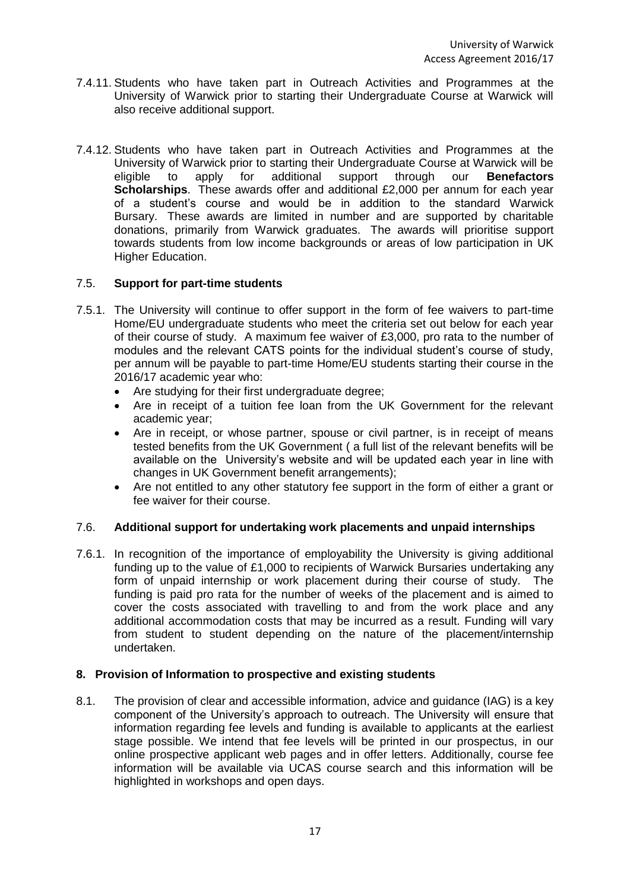- 7.4.11. Students who have taken part in Outreach Activities and Programmes at the University of Warwick prior to starting their Undergraduate Course at Warwick will also receive additional support.
- 7.4.12. Students who have taken part in Outreach Activities and Programmes at the University of Warwick prior to starting their Undergraduate Course at Warwick will be eligible to apply for additional support through our **Benefactors Scholarships**. These awards offer and additional £2,000 per annum for each year of a student's course and would be in addition to the standard Warwick Bursary. These awards are limited in number and are supported by charitable donations, primarily from Warwick graduates. The awards will prioritise support towards students from low income backgrounds or areas of low participation in UK Higher Education.

# 7.5. **Support for part-time students**

- 7.5.1. The University will continue to offer support in the form of fee waivers to part-time Home/EU undergraduate students who meet the criteria set out below for each year of their course of study. A maximum fee waiver of £3,000, pro rata to the number of modules and the relevant CATS points for the individual student's course of study, per annum will be payable to part-time Home/EU students starting their course in the 2016/17 academic year who:
	- Are studying for their first undergraduate degree;
	- Are in receipt of a tuition fee loan from the UK Government for the relevant academic year;
	- Are in receipt, or whose partner, spouse or civil partner, is in receipt of means tested benefits from the UK Government ( a full list of the relevant benefits will be available on the University's website and will be updated each year in line with changes in UK Government benefit arrangements);
	- Are not entitled to any other statutory fee support in the form of either a grant or fee waiver for their course.

## 7.6. **Additional support for undertaking work placements and unpaid internships**

7.6.1. In recognition of the importance of employability the University is giving additional funding up to the value of £1,000 to recipients of Warwick Bursaries undertaking any form of unpaid internship or work placement during their course of study. The funding is paid pro rata for the number of weeks of the placement and is aimed to cover the costs associated with travelling to and from the work place and any additional accommodation costs that may be incurred as a result. Funding will vary from student to student depending on the nature of the placement/internship undertaken.

## **8. Provision of Information to prospective and existing students**

8.1. The provision of clear and accessible information, advice and guidance (IAG) is a key component of the University's approach to outreach. The University will ensure that information regarding fee levels and funding is available to applicants at the earliest stage possible. We intend that fee levels will be printed in our prospectus, in our online prospective applicant web pages and in offer letters. Additionally, course fee information will be available via UCAS course search and this information will be highlighted in workshops and open days.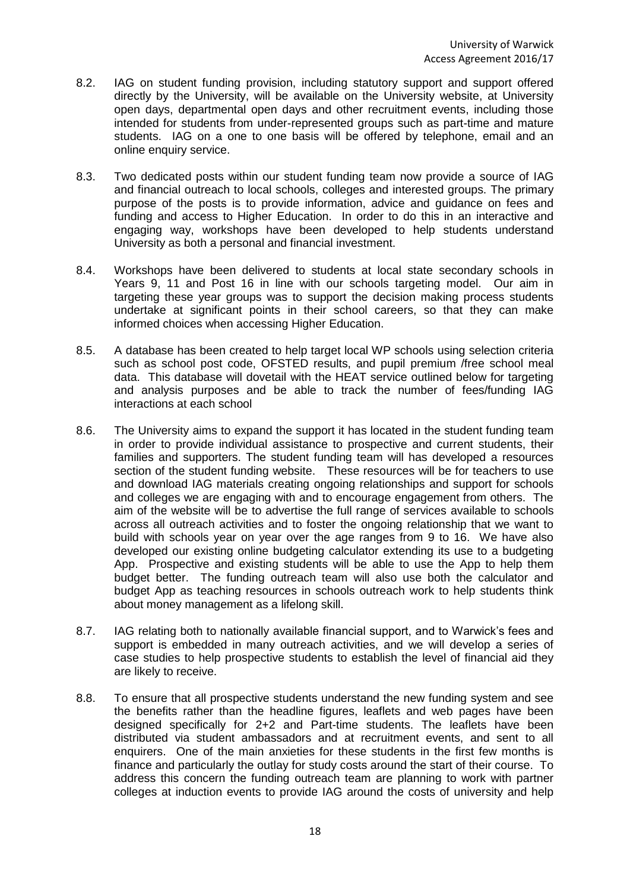- 8.2. IAG on student funding provision, including statutory support and support offered directly by the University, will be available on the University website, at University open days, departmental open days and other recruitment events, including those intended for students from under-represented groups such as part-time and mature students. IAG on a one to one basis will be offered by telephone, email and an online enquiry service.
- 8.3. Two dedicated posts within our student funding team now provide a source of IAG and financial outreach to local schools, colleges and interested groups. The primary purpose of the posts is to provide information, advice and guidance on fees and funding and access to Higher Education. In order to do this in an interactive and engaging way, workshops have been developed to help students understand University as both a personal and financial investment.
- 8.4. Workshops have been delivered to students at local state secondary schools in Years 9, 11 and Post 16 in line with our schools targeting model. Our aim in targeting these year groups was to support the decision making process students undertake at significant points in their school careers, so that they can make informed choices when accessing Higher Education.
- 8.5. A database has been created to help target local WP schools using selection criteria such as school post code, OFSTED results, and pupil premium /free school meal data. This database will dovetail with the HEAT service outlined below for targeting and analysis purposes and be able to track the number of fees/funding IAG interactions at each school
- 8.6. The University aims to expand the support it has located in the student funding team in order to provide individual assistance to prospective and current students, their families and supporters. The student funding team will has developed a resources section of the student funding website. These resources will be for teachers to use and download IAG materials creating ongoing relationships and support for schools and colleges we are engaging with and to encourage engagement from others. The aim of the website will be to advertise the full range of services available to schools across all outreach activities and to foster the ongoing relationship that we want to build with schools year on year over the age ranges from 9 to 16. We have also developed our existing online budgeting calculator extending its use to a budgeting App. Prospective and existing students will be able to use the App to help them budget better. The funding outreach team will also use both the calculator and budget App as teaching resources in schools outreach work to help students think about money management as a lifelong skill.
- 8.7. IAG relating both to nationally available financial support, and to Warwick's fees and support is embedded in many outreach activities, and we will develop a series of case studies to help prospective students to establish the level of financial aid they are likely to receive.
- 8.8. To ensure that all prospective students understand the new funding system and see the benefits rather than the headline figures, leaflets and web pages have been designed specifically for 2+2 and Part-time students. The leaflets have been distributed via student ambassadors and at recruitment events, and sent to all enquirers. One of the main anxieties for these students in the first few months is finance and particularly the outlay for study costs around the start of their course. To address this concern the funding outreach team are planning to work with partner colleges at induction events to provide IAG around the costs of university and help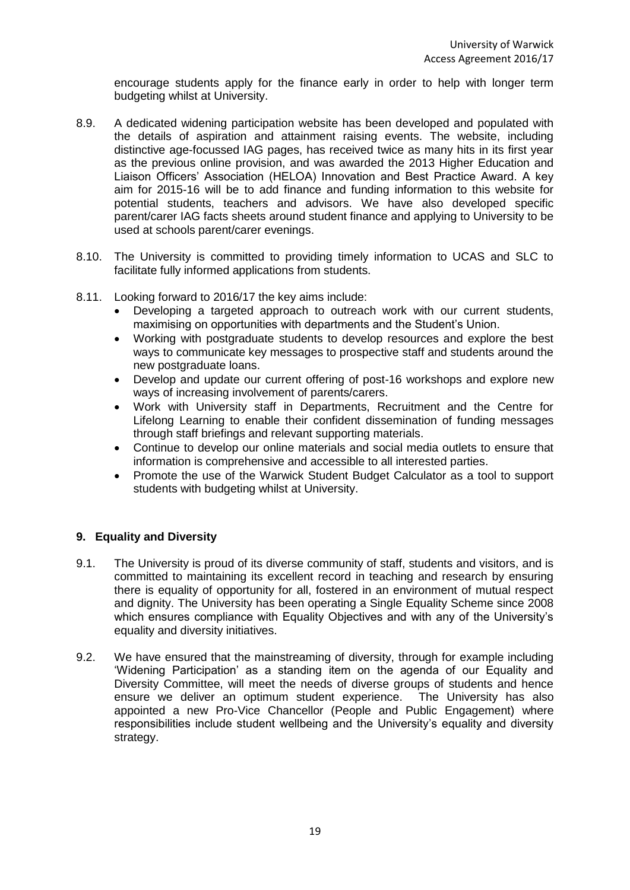encourage students apply for the finance early in order to help with longer term budgeting whilst at University.

- 8.9. A dedicated widening participation website has been developed and populated with the details of aspiration and attainment raising events. The website, including distinctive age-focussed IAG pages, has received twice as many hits in its first year as the previous online provision, and was awarded the 2013 Higher Education and Liaison Officers' Association (HELOA) Innovation and Best Practice Award. A key aim for 2015-16 will be to add finance and funding information to this website for potential students, teachers and advisors. We have also developed specific parent/carer IAG facts sheets around student finance and applying to University to be used at schools parent/carer evenings.
- 8.10. The University is committed to providing timely information to UCAS and SLC to facilitate fully informed applications from students.
- 8.11. Looking forward to 2016/17 the key aims include:
	- Developing a targeted approach to outreach work with our current students, maximising on opportunities with departments and the Student's Union.
	- Working with postgraduate students to develop resources and explore the best ways to communicate key messages to prospective staff and students around the new postgraduate loans.
	- Develop and update our current offering of post-16 workshops and explore new ways of increasing involvement of parents/carers.
	- Work with University staff in Departments, Recruitment and the Centre for Lifelong Learning to enable their confident dissemination of funding messages through staff briefings and relevant supporting materials.
	- Continue to develop our online materials and social media outlets to ensure that information is comprehensive and accessible to all interested parties.
	- Promote the use of the Warwick Student Budget Calculator as a tool to support students with budgeting whilst at University.

## **9. Equality and Diversity**

- 9.1. The University is proud of its diverse community of staff, students and visitors, and is committed to maintaining its excellent record in teaching and research by ensuring there is equality of opportunity for all, fostered in an environment of mutual respect and dignity. The University has been operating a Single Equality Scheme since 2008 which ensures compliance with Equality Objectives and with any of the University's equality and diversity initiatives.
- 9.2. We have ensured that the mainstreaming of diversity, through for example including 'Widening Participation' as a standing item on the agenda of our Equality and Diversity Committee, will meet the needs of diverse groups of students and hence ensure we deliver an optimum student experience. The University has also appointed a new Pro-Vice Chancellor (People and Public Engagement) where responsibilities include student wellbeing and the University's equality and diversity strategy.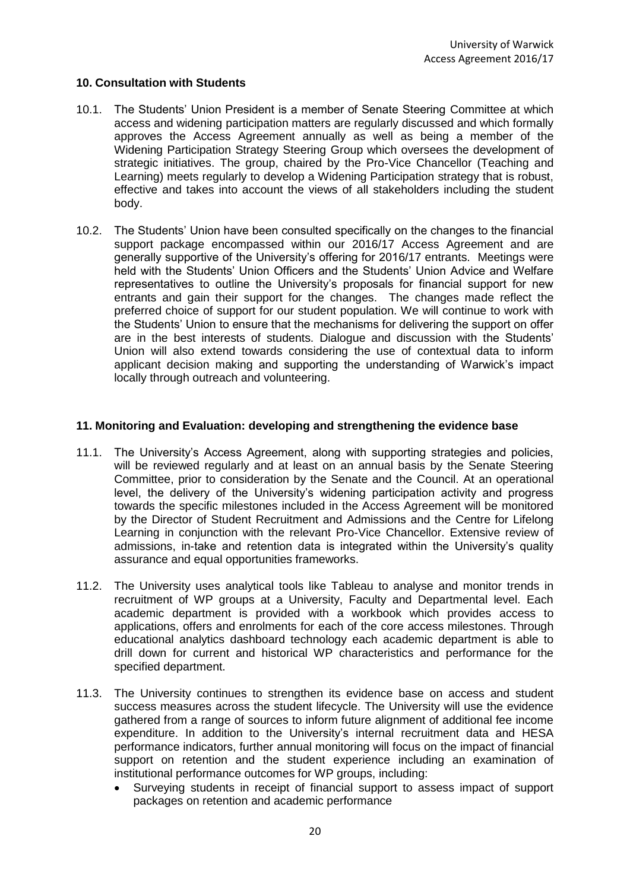## **10. Consultation with Students**

- 10.1. The Students' Union President is a member of Senate Steering Committee at which access and widening participation matters are regularly discussed and which formally approves the Access Agreement annually as well as being a member of the Widening Participation Strategy Steering Group which oversees the development of strategic initiatives. The group, chaired by the Pro-Vice Chancellor (Teaching and Learning) meets regularly to develop a Widening Participation strategy that is robust, effective and takes into account the views of all stakeholders including the student body.
- 10.2. The Students' Union have been consulted specifically on the changes to the financial support package encompassed within our 2016/17 Access Agreement and are generally supportive of the University's offering for 2016/17 entrants. Meetings were held with the Students' Union Officers and the Students' Union Advice and Welfare representatives to outline the University's proposals for financial support for new entrants and gain their support for the changes. The changes made reflect the preferred choice of support for our student population. We will continue to work with the Students' Union to ensure that the mechanisms for delivering the support on offer are in the best interests of students. Dialogue and discussion with the Students' Union will also extend towards considering the use of contextual data to inform applicant decision making and supporting the understanding of Warwick's impact locally through outreach and volunteering.

# **11. Monitoring and Evaluation: developing and strengthening the evidence base**

- 11.1. The University's Access Agreement, along with supporting strategies and policies, will be reviewed regularly and at least on an annual basis by the Senate Steering Committee, prior to consideration by the Senate and the Council. At an operational level, the delivery of the University's widening participation activity and progress towards the specific milestones included in the Access Agreement will be monitored by the Director of Student Recruitment and Admissions and the Centre for Lifelong Learning in conjunction with the relevant Pro-Vice Chancellor. Extensive review of admissions, in-take and retention data is integrated within the University's quality assurance and equal opportunities frameworks.
- 11.2. The University uses analytical tools like Tableau to analyse and monitor trends in recruitment of WP groups at a University, Faculty and Departmental level. Each academic department is provided with a workbook which provides access to applications, offers and enrolments for each of the core access milestones. Through educational analytics dashboard technology each academic department is able to drill down for current and historical WP characteristics and performance for the specified department.
- 11.3. The University continues to strengthen its evidence base on access and student success measures across the student lifecycle. The University will use the evidence gathered from a range of sources to inform future alignment of additional fee income expenditure. In addition to the University's internal recruitment data and HESA performance indicators, further annual monitoring will focus on the impact of financial support on retention and the student experience including an examination of institutional performance outcomes for WP groups, including:
	- Surveying students in receipt of financial support to assess impact of support packages on retention and academic performance